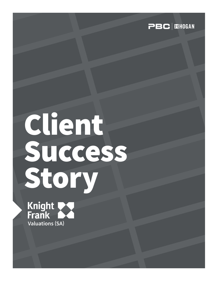

# Client Success Story

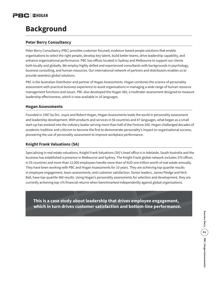# **Background**

## **Peter Berry Consultancy**

Peter Berry Consultancy (PBC) provides customer-focused, evidence-based people solutions that enable organisations to select the right people, develop key talent, build better teams, drive leadership capability, and enhance organisational performance. PBC has offices located in Sydney and Melbourne to support our clients both locally and globally. We employ highly skilled and experienced consultants with backgrounds in psychology, business consulting, and human resources. Our international network of partners and distributors enables us to provide seamless global solutions.

PBC is the Australian Distributor and partner of Hogan Assessments. Hogan combines the science of personality assessment with practical business experience to assist organisations in managing a wide range of human resource management functions and issues. PBC also developed the Hogan 360, a multirater assessment designed to measure leadership effectiveness, which is now available in 16 languages.

## **Hogan Assessments**

Founded in 1987 by Drs. Joyce and Robert Hogan, Hogan Assessments leads the world in personality assessment and leadership development. With products and services in 56 countries and 47 languages, what began as a small start-up has evolved into the industry leader serving more than half of the Fortune 500. Hogan challenged decades of academic tradition and criticism to become the first to demonstrate personality's impact on organisational success, pioneering the use of personality assessment to improve workplace performance.

## **Knight Frank Valuations (SA)**

Specialising in real estate valuations, Knight Frank Valuations (SA)'s head office is in Adelaide, South Australia and the business has established a presence in Melbourne and Sydney. The Knight Frank global network includes 370 offices in 55 countries and more than 12,000 employees handle more than of AUD one trillion worth of real estate annually. They have been working with PBC and Hogan Assessments for 10 years. They are achieving top quartile results in employee engagement, team assessments, and customer satisfaction. Senior leaders, James Pledge and Nick Bell, have top-quartile 360 results. Using Hogan's personality assessments for selection and development, they are currently achieving top-1% financial returns when benchmarked independently against global organisations.

**This is a case study about leadership that drives employee engagement, which in turn drives customer satisfaction and bottom-line performance.**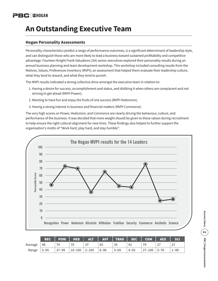# **An Outstanding Executive Team**

## **Hogan Personality Assessments**

Personality characteristics predict a range of performance outcomes, is a significant determinant of leadership style, and can distinguish those who are more likely to lead a business toward sustained profitability and competitive advantage. Fourteen Knight Frank Valuations (SA) senior executives explored their personality results during an annual business planning and team development workshop. This workshop included consulting results from the Motives, Values, Preferences Inventory (MVPI); an assessment that helped them evaluate their leadership culture, what they tend to reward, and what they tend to punish.

The MVPI results indicated a strong collective drive amongst the executive team in relation to:

- 1. Having a desire for success, accomplishment and status, and disliking it when others are complacent and not striving to get ahead (MVPI Power);
- 2. Wanting to have fun and enjoy the fruits of one success (MVPI Hedonism);
- 3. Having a strong interest in business and financial matters (MVPI Commerce).

The very high scores on Power, Hedonism, and Commerce are clearly driving the behaviour, culture, and performance of the business. It was decided that more weight should be given to these values during recruitment to help ensure the right cultural alignment for new hires. These findings also helped to further support the organisation's motto of "Work hard, play hard, and stay humble".



|         | <b>REC</b> | <b>POW</b> | <b>HED</b> | <b>ALT</b> | <b>AFF</b> | <b>TRAD</b> | <b>SEC</b> | <b>COM</b> | <b>AES</b> | <b>SCI</b> |
|---------|------------|------------|------------|------------|------------|-------------|------------|------------|------------|------------|
| Average | 48         | 74         | 70         | 37         | 65         | 35          | 41         | 79         |            | 27         |
| Range   | $5 - 95$   | $37 - 99$  | $10 - 100$ | $2 - 100$  | $6 - 96$   | $5 - 69$    | $4 - 92$   | $27 - 100$ | $5 - 76$   | -98-       |

Success Story (20 ) PBC | Hogan Assessments P3**Success Story PBC | Hogan Assessments**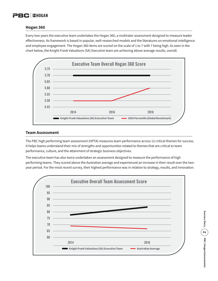### **Hogan 360**

Every two years the executive team undertakes the Hogan 360, a multirater assessment designed to measure leader effectiveness. Its framework is based in popular, well-researched models and the literatures on emotional intelligence and employee engagement. The Hogan 360 items are scored on the scale of 1 to 7 with 7 being high. As seen in the chart below, the Knight Frank Valuations (SA) Executive team are achieving above average results, overall.



#### **Team Assessment**

The PBC high performing team assessment (HPTA) measures team performance across 12 critical themes for success. It helps teams understand their mix of strengths and opportunities related to themes that are critical to team performance, culture, and the attainment of strategic business objectives.

The executive team has also twice undertaken an assessment designed to measure the performance of high performing teams. They scored above the Australian average and experienced an increase in their result over the twoyear period. For the most recent survey, their highest performance was in relation to strategy, results, and innovation.



Success Story (  $\mathbb{Z}$  ) PBC | Hogan Assessments P4**Success Story PBC | Hogan Assessments**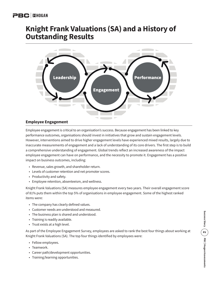# **Knight Frank Valuations (SA) and a History of Outstanding Results**



## **Employee Engagement**

Employee engagement is critical to an organisation's success. Because engagement has been linked to key performance outcomes, organisations should invest in initiatives that grow and sustain engagement levels. However, interventions aimed to drive higher engagement levels have experienced mixed results, largely due to inaccurate measurements of engagement and a lack of understanding of its core drivers. The first step is to build a comprehensive understanding of engagement. Global trends reflect an increased awareness of the impact employee engagement can have on performance, and the necessity to promote it. Engagement has a positive impact on business outcomes, including:

- Revenue, sales growth, and shareholder return.
- Levels of customer retention and net promoter scores.
- Productivity and safety.
- Employee retention, absenteeism, and wellness.

Knight Frank Valuations (SA) measures employee engagement every two years. Their overall engagement score of 81% puts them within the top 5% of organisations in employee engagement. Some of the highest ranked items were:

- The company has clearly defined values.
- Customer needs are understood and measured.
- The business plan is shared and understood.
- Training is readily available.
- Trust exists at a high level.

As part of the Employee Engagement Survey, employees are asked to rank the best four things about working at Knight Frank Valuations (SA). The top four things identified by employees were:

- Fellow employees.
- Teamwork.
- Career path/development opportunities.
- Training/learning opportunities.

Success Story (E) PBC | Hogan Assessments P5**Success Story PBC | Hogan Assessments**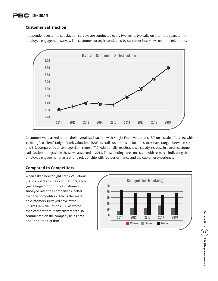#### **Customer Satisfaction**

Independent customer satisfaction surveys are conducted every two years, typically on alternate years to the employee engagement survey. The customer survey is conducted by customer interviews over the telephone.



Customers were asked to rate their overall satisfaction with Knight Frank Valuations (SA) on a scale of 1 to 10, with 10 being 'excellent'. Knight Frank Valuations (SA)'s overall customer satisfaction scores have ranged between 8.3 and 8.9, compared to an average client score of 7.9. Additionally, results show a steady increase in overall customer satisfaction ratings since the surveys started in 2011. These findings are consistent with research indicating that employee engagement has a strong relationship with job performance and the customer experience.

## **Compared to Competitors**

When asked how Knight Frank Valuations (SA) compares to their competitors, each year a large proportion of customers surveyed rated the company as 'better' than the competitors. Across the years, no customers surveyed have rated Knight Frank Valuations (SA) as worse than competitors. Many customers also commented on the company being "top end" or a "top tier firm".

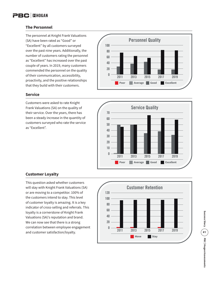### **The Personnel**

The personnel at Knight Frank Valuations (SA) have been rated as "Good" or "Excellent" by all customers surveyed over the past nine years. Additionally, the number of customers rating the personnel as "Excellent" has increased over the past couple of years. In 2019, many customers commended the personnel on the quality of their communication, accessibility, proactivity, and the positive relationships that they build with their customers.

## **Service**

Customers were asked to rate Knight Frank Valuations (SA) on the quality of their service. Over the years, there has been a steady increase in the quantity of customers surveyed who rate the service as "Excellent".





## **Customer Loyalty**

This question asked whether customers will stay with Knight Frank Valuations (SA) or are moving to a competitor. 100% of the customers intend to stay. This level of customer loyalty is amazing. It is a key indicator of cross-selling and referrals. This loyalty is a cornerstone of Knight Frank Valuations (SA)'s reputation and brand. We can now see that there is a strong correlation between employee engagement and customer satisfaction/loyalty.



Success Story (E ) PBC | Hogan Assessments P7**Success Story PBC | Hogan Assessments**